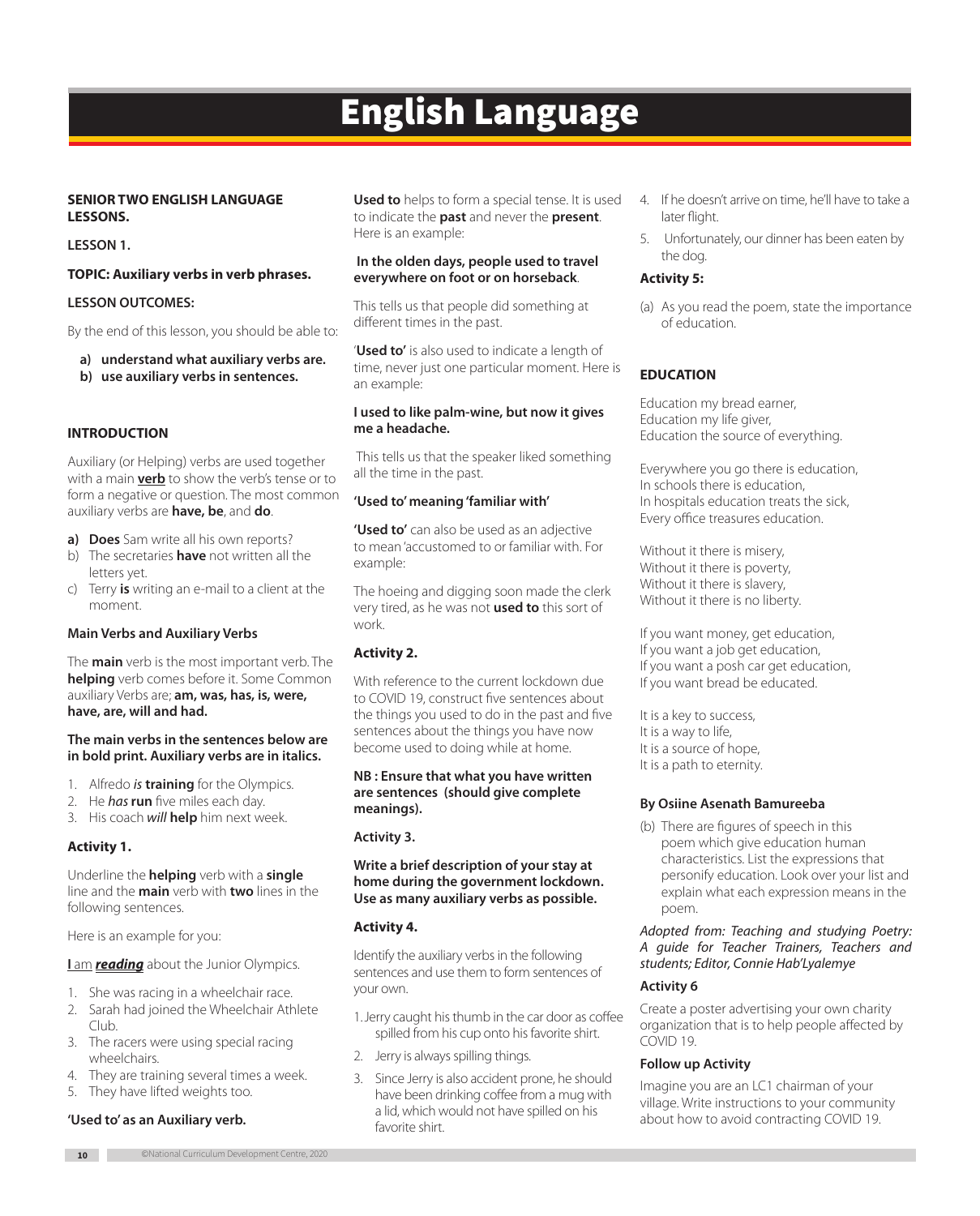# English Language

# **SENIOR TWO ENGLISH LANGUAGE LESSONS.**

**LESSON 1.** 

## **TOPIC: Auxiliary verbs in verb phrases.**

## **LESSON OUTCOMES:**

By the end of this lesson, you should be able to:

- **a) understand what auxiliary verbs are.**
- **b) use auxiliary verbs in sentences.**

## **INTRODUCTION**

Auxiliary (or Helping) verbs are used together with a main **verb** to show the verb's tense or to form a negative or question. The most common auxiliary verbs are **have, be**, and **do**.

- **a) Does** Sam write all his own reports?
- b) The secretaries **have** not written all the letters yet.
- c) Terry **is** writing an e-mail to a client at the moment.

## **Main Verbs and Auxiliary Verbs**

The **main** verb is the most important verb. The **helping** verb comes before it. Some Common auxiliary Verbs are; **am, was, has, is, were, have, are, will and had.** 

#### **The main verbs in the sentences below are in bold print. Auxiliary verbs are in italics.**

- 1. Alfredo *is* **training** for the Olympics.
- 2. He *has* **run** five miles each day.
- 3. His coach *will* **help** him next week.

# **Activity 1.**

Underline the **helping** verb with a **single** line and the **main** verb with **two** lines in the following sentences.

Here is an example for you:

#### **I** am **reading** about the Junior Olympics.

- 1. She was racing in a wheelchair race.
- 2. Sarah had joined the Wheelchair Athlete Club.
- 3. The racers were using special racing wheelchairs.
- 4. They are training several times a week.
- 5. They have lifted weights too.

#### **'Used to' as an Auxiliary verb.**

**Used to** helps to form a special tense. It is used to indicate the **past** and never the **present**. Here is an example:

#### **In the olden days, people used to travel everywhere on foot or on horseback**.

This tells us that people did something at different times in the past.

'**Used to'** is also used to indicate a length of time, never just one particular moment. Here is an example:

#### **I used to like palm-wine, but now it gives me a headache.**

 This tells us that the speaker liked something all the time in the past.

#### **'Used to' meaning 'familiar with'**

**'Used to'** can also be used as an adjective to mean 'accustomed to or familiar with. For example:

The hoeing and digging soon made the clerk very tired, as he was not **used to** this sort of work.

# **Activity 2.**

With reference to the current lockdown due to COVID 19, construct five sentences about the things you used to do in the past and five sentences about the things you have now become used to doing while at home.

**NB : Ensure that what you have written are sentences (should give complete meanings).** 

#### **Activity 3.**

#### **Write a brief description of your stay at home during the government lockdown. Use as many auxiliary verbs as possible.**

# **Activity 4.**

Identify the auxiliary verbs in the following sentences and use them to form sentences of your own.

- 1.Jerry caught his thumb in the car door as coffee spilled from his cup onto his favorite shirt.
- 2. Jerry is always spilling things.
- 3. Since Jerry is also accident prone, he should have been drinking coffee from a mug with a lid, which would not have spilled on his favorite shirt.
- 4. If he doesn't arrive on time, he'll have to take a later flight.
- 5. Unfortunately, our dinner has been eaten by the dog.

## **Activity 5:**

(a) As you read the poem, state the importance of education.

# **EDUCATION**

Education my bread earner, Education my life giver, Education the source of everything.

Everywhere you go there is education, In schools there is education, In hospitals education treats the sick, Every office treasures education.

Without it there is misery, Without it there is poverty, Without it there is slavery, Without it there is no liberty.

If you want money, get education, If you want a job get education, If you want a posh car get education, If you want bread be educated.

It is a key to success, It is a way to life, It is a source of hope, It is a path to eternity.

#### **By Osiine Asenath Bamureeba**

(b) There are figures of speech in this poem which give education human characteristics. List the expressions that personify education. Look over your list and explain what each expression means in the poem.

*Adopted from: Teaching and studying Poetry: A guide for Teacher Trainers, Teachers and students; Editor, Connie Hab'Lyalemye*

## **Activity 6**

Create a poster advertising your own charity organization that is to help people affected by COVID 19.

#### **Follow up Activity**

Imagine you are an LC1 chairman of your village. Write instructions to your community about how to avoid contracting COVID 19.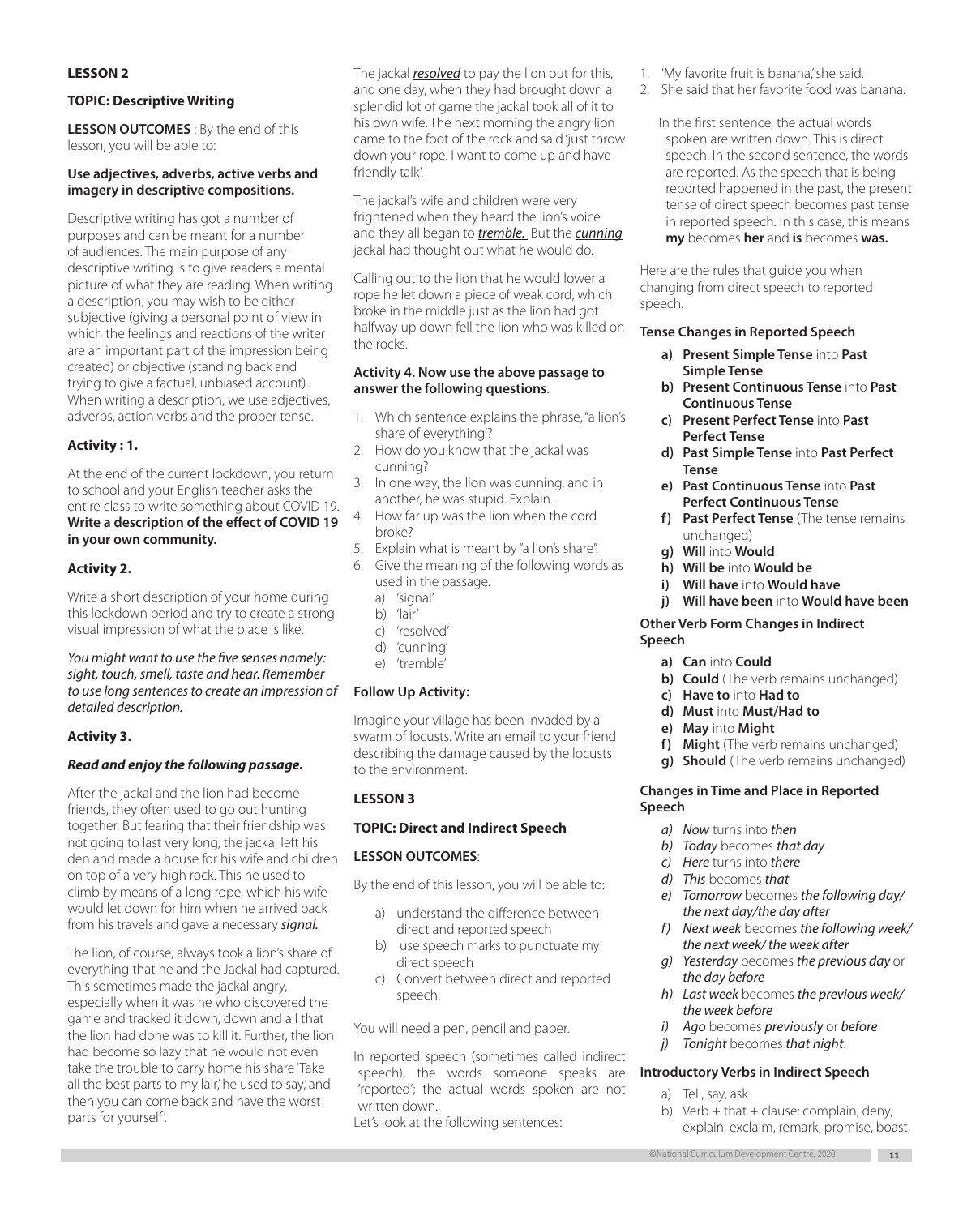## **LESSON 2**

### **TOPIC: Descriptive Writing**

**LESSON OUTCOMES** : By the end of this lesson, you will be able to:

# **Use adjectives, adverbs, active verbs and imagery in descriptive compositions.**

Descriptive writing has got a number of purposes and can be meant for a number of audiences. The main purpose of any descriptive writing is to give readers a mental picture of what they are reading. When writing a description, you may wish to be either subjective (giving a personal point of view in which the feelings and reactions of the writer are an important part of the impression being created) or objective (standing back and trying to give a factual, unbiased account). When writing a description, we use adjectives, adverbs, action verbs and the proper tense.

# **Activity : 1.**

At the end of the current lockdown, you return to school and your English teacher asks the entire class to write something about COVID 19. **Write a description of the effect of COVID 19 in your own community.**

# **Activity 2.**

Write a short description of your home during this lockdown period and try to create a strong visual impression of what the place is like.

*You might want to use the five senses namely: sight, touch, smell, taste and hear. Remember to use long sentences to create an impression of detailed description.* 

# **Activity 3.**

# *Read and enjoy the following passage.*

After the jackal and the lion had become friends, they often used to go out hunting together. But fearing that their friendship was not going to last very long, the jackal left his den and made a house for his wife and children on top of a very high rock. This he used to climb by means of a long rope, which his wife would let down for him when he arrived back from his travels and gave a necessary *signal.*

The lion, of course, always took a lion's share of everything that he and the Jackal had captured. This sometimes made the jackal angry, especially when it was he who discovered the game and tracked it down, down and all that the lion had done was to kill it. Further, the lion had become so lazy that he would not even take the trouble to carry home his share 'Take all the best parts to my lair,' he used to say,' and then you can come back and have the worst parts for yourself'.

The jackal *resolved* to pay the lion out for this, and one day, when they had brought down a splendid lot of game the jackal took all of it to his own wife. The next morning the angry lion came to the foot of the rock and said 'just throw down your rope. I want to come up and have friendly talk'.

The jackal's wife and children were very frightened when they heard the lion's voice and they all began to *tremble.* But the *cunning* jackal had thought out what he would do.

Calling out to the lion that he would lower a rope he let down a piece of weak cord, which broke in the middle just as the lion had got halfway up down fell the lion who was killed on the rocks.

#### **Activity 4. Now use the above passage to answer the following questions**.

- 1. Which sentence explains the phrase, "a lion's share of everything'?
- 2. How do you know that the jackal was cunning?
- 3. In one way, the lion was cunning, and in another, he was stupid. Explain.
- 4. How far up was the lion when the cord broke?
- 5. Explain what is meant by "a lion's share".
- 6. Give the meaning of the following words as used in the passage.
	- a) 'signal'
	- b) 'lair'
	- c) 'resolved'
	- d) 'cunning'
	- e) 'tremble'

#### **Follow Up Activity:**

Imagine your village has been invaded by a swarm of locusts. Write an email to your friend describing the damage caused by the locusts to the environment.

# **LESSON 3**

#### **TOPIC: Direct and Indirect Speech**

#### **LESSON OUTCOMES**:

By the end of this lesson, you will be able to:

- a) understand the difference between direct and reported speech
- b) use speech marks to punctuate my direct speech
- c) Convert between direct and reported speech.

You will need a pen, pencil and paper.

In reported speech (sometimes called indirect speech), the words someone speaks are 'reported'; the actual words spoken are not written down.

Let's look at the following sentences:

- 1. 'My favorite fruit is banana', she said.
- 2. She said that her favorite food was banana.
	- In the first sentence, the actual words spoken are written down. This is direct speech. In the second sentence, the words are reported. As the speech that is being reported happened in the past, the present tense of direct speech becomes past tense in reported speech. In this case, this means **my** becomes **her** and **is** becomes **was.**

Here are the rules that guide you when changing from direct speech to reported speech.

#### **Tense Changes in Reported Speech**

- **a) Present Simple Tense** into **Past Simple Tense**
- **b) Present Continuous Tense** into **Past Continuous Tense**
- **c) Present Perfect Tense** into **Past Perfect Tense**
- **d) Past Simple Tense** into **Past Perfect Tense**
- **e) Past Continuous Tense** into **Past Perfect Continuous Tense**
- **f) Past Perfect Tense** (The tense remains unchanged)
- **g) Will** into **Would**
- **h) Will be** into **Would be**
- **i) Will have** into **Would have**
- **j) Will have been** into **Would have been**

#### **Other Verb Form Changes in Indirect Speech**

- **a) Can** into **Could**
- **b) Could** (The verb remains unchanged)
- **c) Have to** into **Had to**
- **d) Must** into **Must/Had to**
- **e) May** into **Might**
- **f) Might** (The verb remains unchanged)
- **g) Should** (The verb remains unchanged)

#### **Changes in Time and Place in Reported Speech**

- *a) Now* turns into *then*
- *b) Today* becomes *that day*
- *c) Here* turns into *there*
- *d) This* becomes *that*
- *e) Tomorrow* becomes *the following day/ the next day/the day after*
- *f) Next week* becomes *the following week/ the next week/ the week after*
- *g) Yesterday* becomes *the previous day* or *the day before*
- *h) Last week* becomes *the previous week/ the week before*
- *i) Ago* becomes *previously* or *before*
- *j) Tonight* becomes *that night*.

#### **Introductory Verbs in Indirect Speech**

- a) Tell, say, ask
- b) Verb  $+$  that  $+$  clause: complain, deny, explain, exclaim, remark, promise, boast,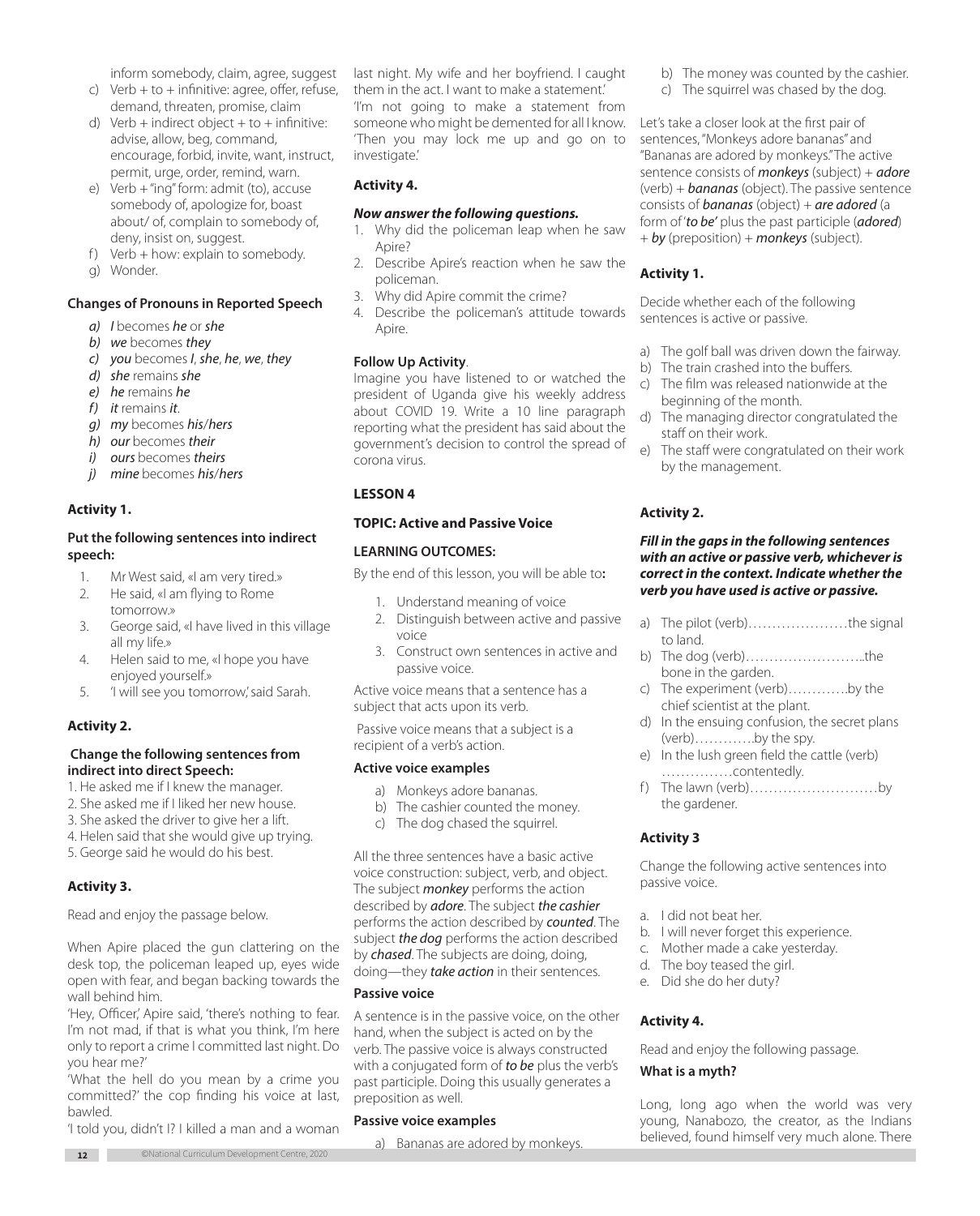inform somebody, claim, agree, suggest

- c) Verb  $+$  to  $+$  infinitive: agree, offer, refuse, demand, threaten, promise, claim
- d) Verb + indirect object + to + infinitive: advise, allow, beg, command, encourage, forbid, invite, want, instruct, permit, urge, order, remind, warn.
- e) Verb + "ing" form: admit (to), accuse somebody of, apologize for, boast about/ of, complain to somebody of, deny, insist on, suggest.
- f) Verb  $+$  how: explain to somebody.
- g) Wonder.

### **Changes of Pronouns in Reported Speech**

- *a) I* becomes *he* or *she*
- *b) we* becomes *they*
- *c) you* becomes *I*, *she*, *he*, *we*, *they*
- *d) she* remains *she*
- *e) he* remains *he*
- *f) it* remains *it*.
- *g) my* becomes *his*/*hers*
- *h) our* becomes *their*
- *i) ours* becomes *theirs*
- *j) mine* becomes *his*/*hers*

#### **Activity 1.**

## **Put the following sentences into indirect speech:**

- 1. Mr West said, «I am very tired.»
- 2. He said, «I am flying to Rome
- tomorrow.» 3. George said, «I have lived in this village all my life.»
- 4. Helen said to me, «I hope you have enjoyed yourself.»
- 5. 'I will see you tomorrow,' said Sarah.

# **Activity 2.**

#### **Change the following sentences from indirect into direct Speech:**

- 1. He asked me if I knew the manager.
- 2. She asked me if I liked her new house.
- 3. She asked the driver to give her a lift.
- 4. Helen said that she would give up trying.
- 5. George said he would do his best.

# **Activity 3.**

Read and enjoy the passage below.

When Apire placed the gun clattering on the desk top, the policeman leaped up, eyes wide open with fear, and began backing towards the wall behind him.

'Hey, Officer,' Apire said, 'there's nothing to fear. I'm not mad, if that is what you think, I'm here only to report a crime I committed last night. Do you hear me?'

'What the hell do you mean by a crime you committed?' the cop finding his voice at last, bawled.

'I told you, didn't I? I killed a man and a woman

last night. My wife and her boyfriend. I caught them in the act. I want to make a statement.' 'I'm not going to make a statement from someone who might be demented for all I know. 'Then you may lock me up and go on to investigate.'

## **Activity 4.**

#### *Now answer the following questions.*

- 1. Why did the policeman leap when he saw Apire?
- 2. Describe Apire's reaction when he saw the policeman.
- 3. Why did Apire commit the crime?
- 4. Describe the policeman's attitude towards Apire.

#### **Follow Up Activity**.

Imagine you have listened to or watched the president of Uganda give his weekly address about COVID 19. Write a 10 line paragraph reporting what the president has said about the government's decision to control the spread of corona virus.

## **LESSON 4**

#### **TOPIC: Active and Passive Voice**

## **LEARNING OUTCOMES:**

By the end of this lesson, you will be able to**:** 

- 1. Understand meaning of voice
- 2. Distinguish between active and passive voice
- 3. Construct own sentences in active and passive voice.

Active voice means that a sentence has a subject that acts upon its verb.

 Passive voice means that a subject is a recipient of a verb's action.

#### **Active voice examples**

- a) Monkeys adore bananas.
- b) The cashier counted the money.
- c) The dog chased the squirrel.

All the three sentences have a basic active voice construction: subject, verb, and object. The subject *monkey* performs the action described by *adore*. The subject *the cashier* performs the action described by *counted*. The subject *the dog* performs the action described by *chased*. The subjects are doing, doing, doing—they *take action* in their sentences.

#### **Passive voice**

A sentence is in the passive voice, on the other hand, when the subject is acted on by the verb. The passive voice is always constructed with a conjugated form of *to be* plus the verb's past participle. Doing this usually generates a preposition as well.

#### **Passive voice examples**

a) Bananas are adored by monkeys.

- b) The money was counted by the cashier.
- c) The squirrel was chased by the dog.

Let's take a closer look at the first pair of sentences, "Monkeys adore bananas" and "Bananas are adored by monkeys." The active sentence consists of *monkeys* (subject) + *adore* (verb) + *bananas* (object). The passive sentence consists of *bananas* (object) + *are adored* (a form of '*to be'* plus the past participle (*adored*) + *by* (preposition) + *monkeys* (subject).

# **Activity 1.**

Decide whether each of the following sentences is active or passive.

- a) The golf ball was driven down the fairway.
- b) The train crashed into the buffers.
- c) The film was released nationwide at the beginning of the month.
- d) The managing director congratulated the staff on their work.
- e) The staff were congratulated on their work by the management.

# **Activity 2.**

#### *Fill in the gaps in the following sentences with an active or passive verb, whichever is correct in the context. Indicate whether the verb you have used is active or passive.*

- a) The pilot (verb)…………………the signal to land.
- b) The dog (verb)……………………..the bone in the garden.
- c) The experiment (verb)………….by the chief scientist at the plant.
- d) In the ensuing confusion, the secret plans (verb)………….by the spy.
- e) In the lush green field the cattle (verb) ……………contentedly.
- f) The lawn (verb)................................by the gardener.

#### **Activity 3**

Change the following active sentences into passive voice.

- a. I did not beat her.
- b. I will never forget this experience.
- c. Mother made a cake yesterday.
- d. The boy teased the girl.
- e. Did she do her duty?

#### **Activity 4.**

Read and enjoy the following passage.

#### **What is a myth?**

Long, long ago when the world was very young, Nanabozo, the creator, as the Indians believed, found himself very much alone. There